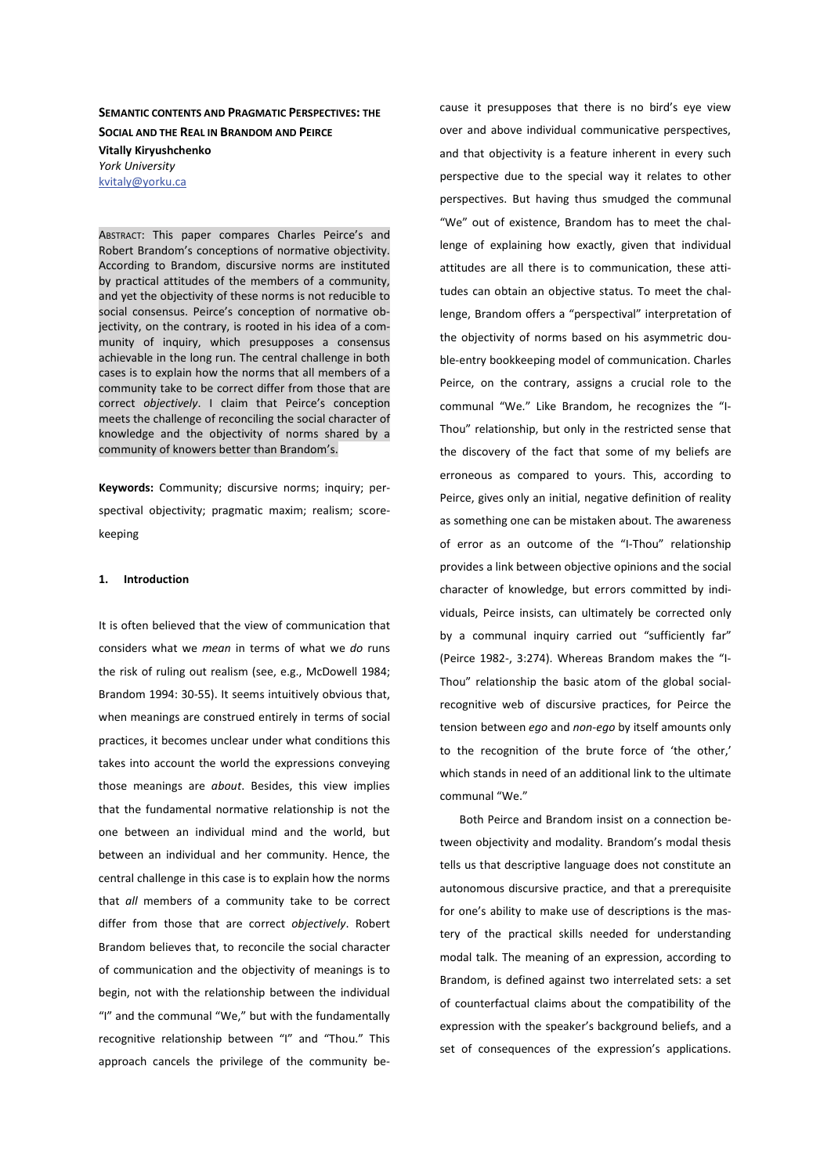**SEMANTIC CONTENTS AND PRAGMATIC PERSPECTIVES: THE SOCIAL AND THE REAL IN BRANDOM AND PEIRCE Vitally Kiryushchenko** *York University*  kvitaly@yorku.ca

ABSTRACT: This paper compares Charles Peirce's and Robert Brandom's conceptions of normative objectivity. According to Brandom, discursive norms are instituted by practical attitudes of the members of a community, and yet the objectivity of these norms is not reducible to social consensus. Peirce's conception of normative objectivity, on the contrary, is rooted in his idea of a community of inquiry, which presupposes a consensus achievable in the long run. The central challenge in both cases is to explain how the norms that all members of a community take to be correct differ from those that are correct *objectively*. I claim that Peirce's conception meets the challenge of reconciling the social character of knowledge and the objectivity of norms shared by a community of knowers better than Brandom's.

Keywords: Community; discursive norms; inquiry; perspectival objectivity; pragmatic maxim; realism; scorekeeping

#### 1. **Introduction**

It is often believed that the view of communication that considers what we *mean* in terms of what we *do* runs the risk of ruling out realism (see, e.g., McDowell 1984; Brandom 1994: 30-55). It seems intuitively obvious that, when meanings are construed entirely in terms of social practices, it becomes unclear under what conditions this takes into account the world the expressions conveying those meanings are *about*. Besides, this view implies that the fundamental normative relationship is not the one between an individual mind and the world, but between an individual and her community. Hence, the central challenge in this case is to explain how the norms that *all* members of a community take to be correct differ from those that are correct *objectively*. Robert Brandom believes that, to reconcile the social character of communication and the objectivity of meanings is to begin, not with the relationship between the individual "I" and the communal "We," but with the fundamentally recognitive relationship between "I" and "Thou." This approach cancels the privilege of the community be-

cause it presupposes that there is no bird's eye view over and above individual communicative perspectives, and that objectivity is a feature inherent in every such perspective due to the special way it relates to other perspectives. But having thus smudged the communal "We" out of existence, Brandom has to meet the challenge of explaining how exactly, given that individual attitudes are all there is to communication, these attitudes can obtain an objective status. To meet the challenge, Brandom offers a "perspectival" interpretation of the objectivity of norms based on his asymmetric double-entry bookkeeping model of communication. Charles Peirce, on the contrary, assigns a crucial role to the communal "We." Like Brandom, he recognizes the "I-Thou" relationship, but only in the restricted sense that the discovery of the fact that some of my beliefs are erroneous as compared to yours. This, according to Peirce, gives only an initial, negative definition of reality as something one can be mistaken about. The awareness of error as an outcome of the "I-Thou" relationship provides a link between objective opinions and the social character of knowledge, but errors committed by individuals, Peirce insists, can ultimately be corrected only by a communal inquiry carried out "sufficiently far" (Peirce 1982-, 3:274). Whereas Brandom makes the "I-Thou" relationship the basic atom of the global socialrecognitive web of discursive practices, for Peirce the tension between *ego* and *non-ego* by itself amounts only to the recognition of the brute force of 'the other,' which stands in need of an additional link to the ultimate communal "We."

Both Peirce and Brandom insist on a connection between objectivity and modality. Brandom's modal thesis tells us that descriptive language does not constitute an autonomous discursive practice, and that a prerequisite for one's ability to make use of descriptions is the mastery of the practical skills needed for understanding modal talk. The meaning of an expression, according to Brandom, is defined against two interrelated sets: a set of counterfactual claims about the compatibility of the expression with the speaker's background beliefs, and a set of consequences of the expression's applications.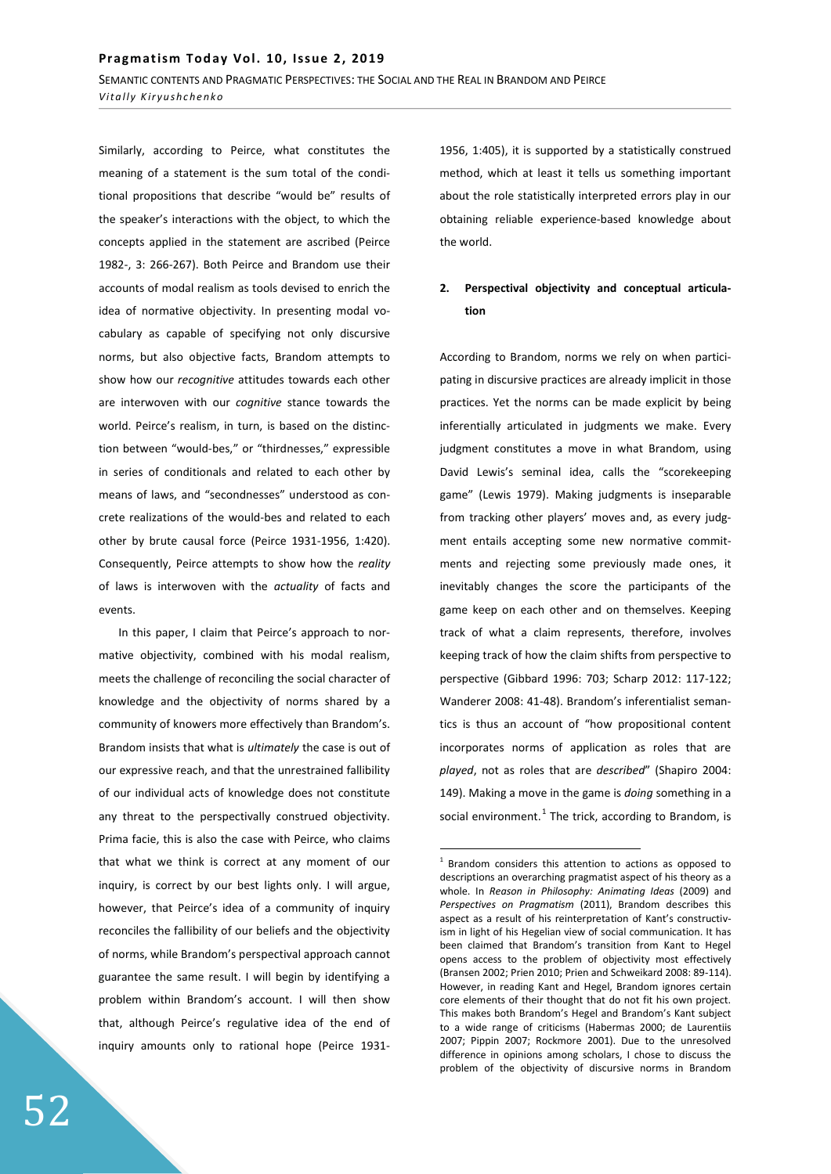Similarly, according to Peirce, what constitutes the meaning of a statement is the sum total of the conditional propositions that describe "would be" results of the speaker's interactions with the object, to which the concepts applied in the statement are ascribed (Peirce 1982-, 3: 266-267). Both Peirce and Brandom use their accounts of modal realism as tools devised to enrich the idea of normative objectivity. In presenting modal vocabulary as capable of specifying not only discursive norms, but also objective facts, Brandom attempts to show how our *recognitive* attitudes towards each other are interwoven with our *cognitive* stance towards the world. Peirce's realism, in turn, is based on the distinction between "would-bes," or "thirdnesses," expressible in series of conditionals and related to each other by means of laws, and "secondnesses" understood as concrete realizations of the would-bes and related to each other by brute causal force (Peirce 1931-1956, 1:420). Consequently, Peirce attempts to show how the *reality* of laws is interwoven with the *actuality* of facts and events.

In this paper, I claim that Peirce's approach to normative objectivity, combined with his modal realism, meets the challenge of reconciling the social character of knowledge and the objectivity of norms shared by a community of knowers more effectively than Brandom's. Brandom insists that what is *ultimately* the case is out of our expressive reach, and that the unrestrained fallibility of our individual acts of knowledge does not constitute any threat to the perspectivally construed objectivity. Prima facie, this is also the case with Peirce, who claims that what we think is correct at any moment of our inquiry, is correct by our best lights only. I will argue, however, that Peirce's idea of a community of inquiry reconciles the fallibility of our beliefs and the objectivity of norms, while Brandom's perspectival approach cannot guarantee the same result. I will begin by identifying a problem within Brandom's account. I will then show that, although Peirce's regulative idea of the end of inquiry amounts only to rational hope (Peirce 19311956, 1:405), it is supported by a statistically construed method, which at least it tells us something important about the role statistically interpreted errors play in our obtaining reliable experience-based knowledge about the world.

# 2. Perspectival objectivity and conceptual articula**ƚŝŽŶ**

According to Brandom, norms we rely on when participating in discursive practices are already implicit in those practices. Yet the norms can be made explicit by being inferentially articulated in judgments we make. Every judgment constitutes a move in what Brandom, using David Lewis's seminal idea, calls the "scorekeeping game" (Lewis 1979). Making judgments is inseparable from tracking other players' moves and, as every judgment entails accepting some new normative commitments and rejecting some previously made ones, it inevitably changes the score the participants of the game keep on each other and on themselves. Keeping track of what a claim represents, therefore, involves keeping track of how the claim shifts from perspective to perspective (Gibbard 1996: 703; Scharp 2012: 117-122; Wanderer 2008: 41-48). Brandom's inferentialist semantics is thus an account of "how propositional content incorporates norms of application as roles that are *played*, not as roles that are *described*" (Shapiro 2004: 149). Making a move in the game is *doing* something in a social environment. $<sup>1</sup>$  The trick, according to Brandom, is</sup>

<sup>&</sup>lt;sup>1</sup> Brandom considers this attention to actions as opposed to descriptions an overarching pragmatist aspect of his theory as a whole. In *Reason in Philosophy: Animating Ideas* (2009) and *Perspectives on Pragmatism* (2011), Brandom describes this aspect as a result of his reinterpretation of Kant's constructivism in light of his Hegelian view of social communication. It has been claimed that Brandom's transition from Kant to Hegel opens access to the problem of objectivity most effectively (Bransen 2002; Prien 2010; Prien and Schweikard 2008: 89-114). However, in reading Kant and Hegel, Brandom ignores certain core elements of their thought that do not fit his own project. This makes both Brandom's Hegel and Brandom's Kant subject to a wide range of criticisms (Habermas 2000; de Laurentiis 2007; Pippin 2007; Rockmore 2001). Due to the unresolved difference in opinions among scholars, I chose to discuss the problem of the objectivity of discursive norms in Brandom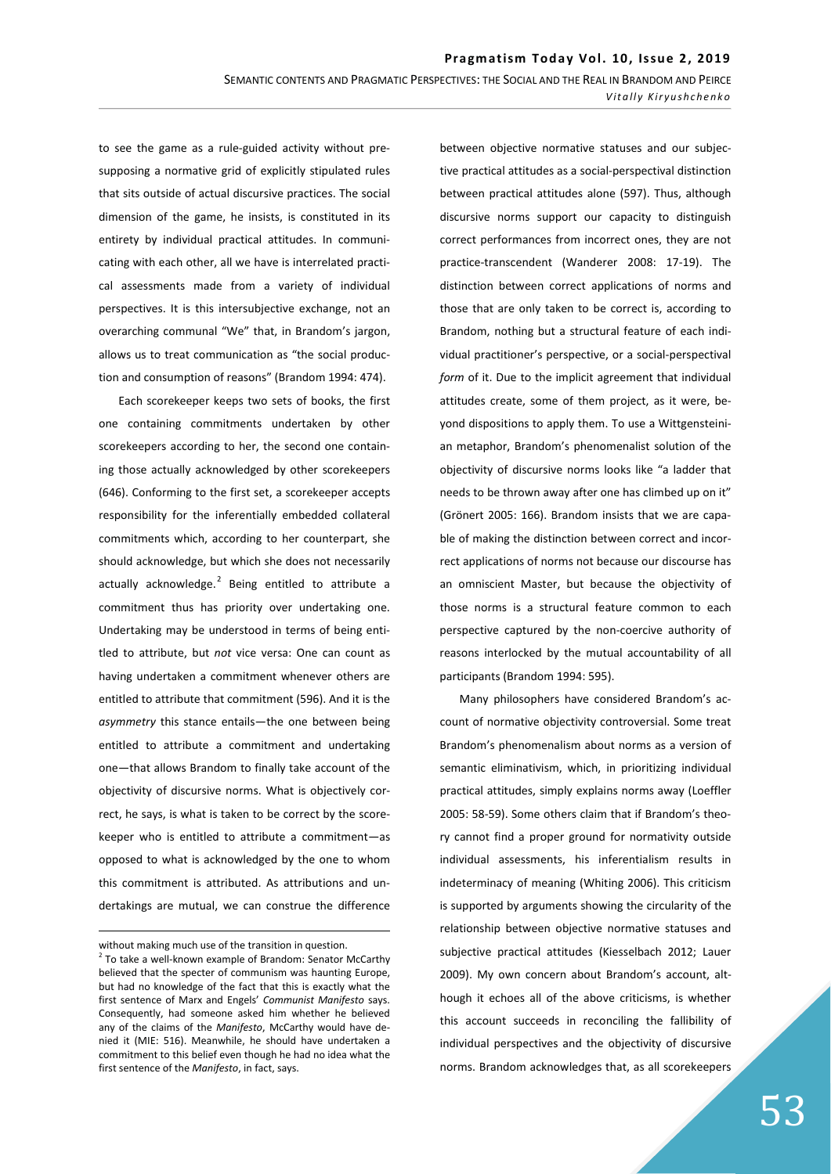to see the game as a rule-guided activity without presupposing a normative grid of explicitly stipulated rules that sits outside of actual discursive practices. The social dimension of the game, he insists, is constituted in its entirety by individual practical attitudes. In communicating with each other, all we have is interrelated practical assessments made from a variety of individual perspectives. It is this intersubjective exchange, not an overarching communal "We" that, in Brandom's jargon, allows us to treat communication as "the social production and consumption of reasons" (Brandom 1994: 474).

Each scorekeeper keeps two sets of books, the first one containing commitments undertaken by other scorekeepers according to her, the second one containing those actually acknowledged by other scorekeepers (646). Conforming to the first set, a scorekeeper accepts responsibility for the inferentially embedded collateral commitments which, according to her counterpart, she should acknowledge, but which she does not necessarily actually acknowledge. $^{2}$  Being entitled to attribute a commitment thus has priority over undertaking one. Undertaking may be understood in terms of being entitled to attribute, but *not* vice versa: One can count as having undertaken a commitment whenever others are entitled to attribute that commitment (596). And it is the asymmetry this stance entails-the one between being entitled to attribute a commitment and undertaking one-that allows Brandom to finally take account of the objectivity of discursive norms. What is objectively correct, he says, is what is taken to be correct by the scorekeeper who is entitled to attribute a commitment-as opposed to what is acknowledged by the one to whom this commitment is attributed. As attributions and undertakings are mutual, we can construe the difference

between objective normative statuses and our subjective practical attitudes as a social-perspectival distinction between practical attitudes alone (597). Thus, although discursive norms support our capacity to distinguish correct performances from incorrect ones, they are not practice-transcendent (Wanderer 2008: 17-19). The distinction between correct applications of norms and those that are only taken to be correct is, according to Brandom, nothing but a structural feature of each individual practitioner's perspective, or a social-perspectival *form* of it. Due to the implicit agreement that individual attitudes create, some of them project, as it were, beyond dispositions to apply them. To use a Wittgensteinian metaphor, Brandom's phenomenalist solution of the objectivity of discursive norms looks like "a ladder that needs to be thrown away after one has climbed up on it" (Grönert 2005: 166). Brandom insists that we are capable of making the distinction between correct and incorrect applications of norms not because our discourse has an omniscient Master, but because the objectivity of those norms is a structural feature common to each perspective captured by the non-coercive authority of reasons interlocked by the mutual accountability of all participants (Brandom 1994: 595).

Many philosophers have considered Brandom's account of normative objectivity controversial. Some treat Brandom's phenomenalism about norms as a version of semantic eliminativism, which, in prioritizing individual practical attitudes, simply explains norms away (Loeffler 2005: 58-59). Some others claim that if Brandom's theory cannot find a proper ground for normativity outside individual assessments, his inferentialism results in indeterminacy of meaning (Whiting 2006). This criticism is supported by arguments showing the circularity of the relationship between objective normative statuses and subjective practical attitudes (Kiesselbach 2012; Lauer 2009). My own concern about Brandom's account, although it echoes all of the above criticisms, is whether this account succeeds in reconciling the fallibility of individual perspectives and the objectivity of discursive norms. Brandom acknowledges that, as all scorekeepers

without making much use of the transition in question.

 $2$  To take a well-known example of Brandom: Senator McCarthy believed that the specter of communism was haunting Europe, but had no knowledge of the fact that this is exactly what the first sentence of Marx and Engels' *Communist Manifesto* says. Consequently, had someone asked him whether he believed any of the claims of the *Manifesto*, McCarthy would have denied it (MIE: 516). Meanwhile, he should have undertaken a commitment to this belief even though he had no idea what the first sentence of the *Manifesto*, in fact, says.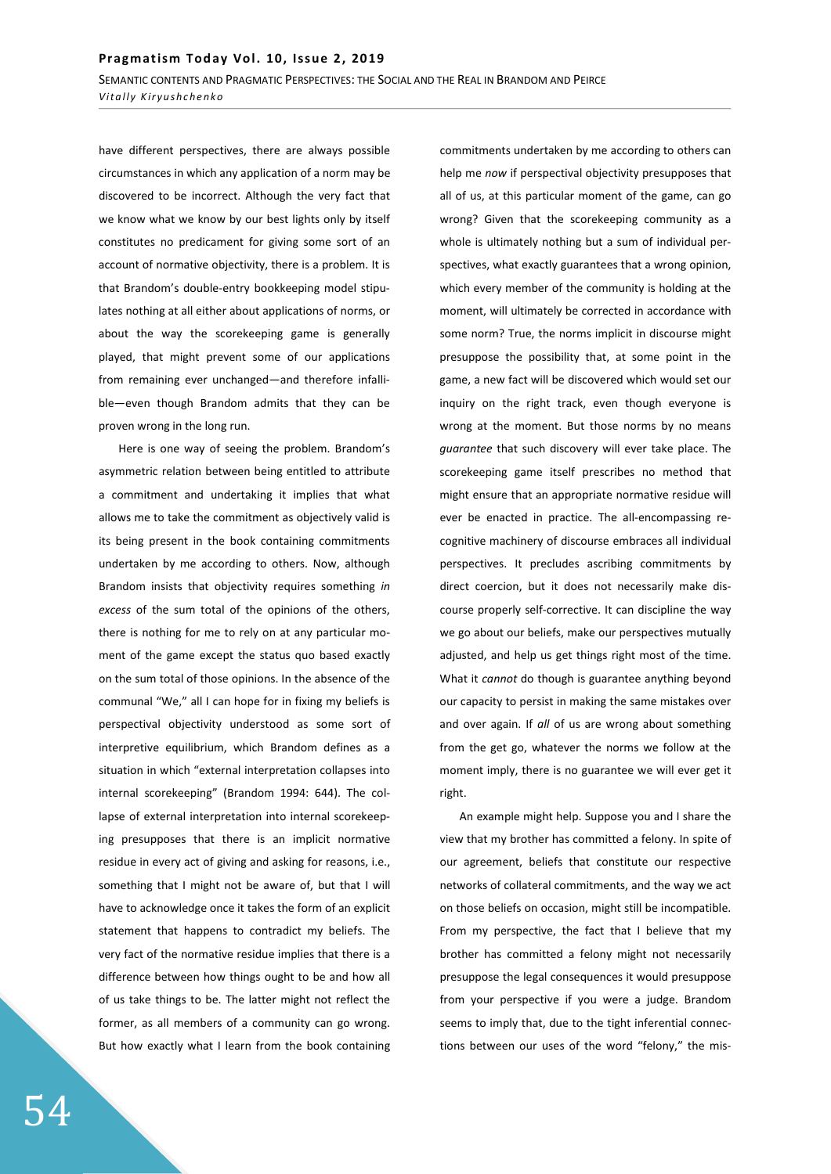have different perspectives, there are always possible circumstances in which any application of a norm may be discovered to be incorrect. Although the very fact that we know what we know by our best lights only by itself constitutes no predicament for giving some sort of an account of normative objectivity, there is a problem. It is that Brandom's double-entry bookkeeping model stipulates nothing at all either about applications of norms, or about the way the scorekeeping game is generally played, that might prevent some of our applications from remaining ever unchanged—and therefore infallible-even though Brandom admits that they can be proven wrong in the long run.

Here is one way of seeing the problem. Brandom's asymmetric relation between being entitled to attribute a commitment and undertaking it implies that what allows me to take the commitment as objectively valid is its being present in the book containing commitments undertaken by me according to others. Now, although Brandom insists that objectivity requires something *in excess* of the sum total of the opinions of the others, there is nothing for me to rely on at any particular moment of the game except the status quo based exactly on the sum total of those opinions. In the absence of the communal "We," all I can hope for in fixing my beliefs is perspectival objectivity understood as some sort of interpretive equilibrium, which Brandom defines as a situation in which "external interpretation collapses into internal scorekeeping" (Brandom 1994: 644). The collapse of external interpretation into internal scorekeeping presupposes that there is an implicit normative residue in every act of giving and asking for reasons, i.e., something that I might not be aware of, but that I will have to acknowledge once it takes the form of an explicit statement that happens to contradict my beliefs. The very fact of the normative residue implies that there is a difference between how things ought to be and how all of us take things to be. The latter might not reflect the former, as all members of a community can go wrong. But how exactly what I learn from the book containing

commitments undertaken by me according to others can help me *now* if perspectival objectivity presupposes that all of us, at this particular moment of the game, can go wrong? Given that the scorekeeping community as a whole is ultimately nothing but a sum of individual perspectives, what exactly guarantees that a wrong opinion, which every member of the community is holding at the moment, will ultimately be corrected in accordance with some norm? True, the norms implicit in discourse might presuppose the possibility that, at some point in the game, a new fact will be discovered which would set our inquiry on the right track, even though everyone is wrong at the moment. But those norms by no means *guarantee* that such discovery will ever take place. The scorekeeping game itself prescribes no method that might ensure that an appropriate normative residue will ever be enacted in practice. The all-encompassing recognitive machinery of discourse embraces all individual perspectives. It precludes ascribing commitments by direct coercion, but it does not necessarily make discourse properly self-corrective. It can discipline the way we go about our beliefs, make our perspectives mutually adjusted, and help us get things right most of the time. What it *cannot* do though is guarantee anything beyond our capacity to persist in making the same mistakes over and over again. If *all* of us are wrong about something from the get go, whatever the norms we follow at the moment imply, there is no guarantee we will ever get it right.

An example might help. Suppose you and I share the view that my brother has committed a felony. In spite of our agreement, beliefs that constitute our respective networks of collateral commitments, and the way we act on those beliefs on occasion, might still be incompatible. From my perspective, the fact that I believe that my brother has committed a felony might not necessarily presuppose the legal consequences it would presuppose from your perspective if you were a judge. Brandom seems to imply that, due to the tight inferential connections between our uses of the word "felony," the mis-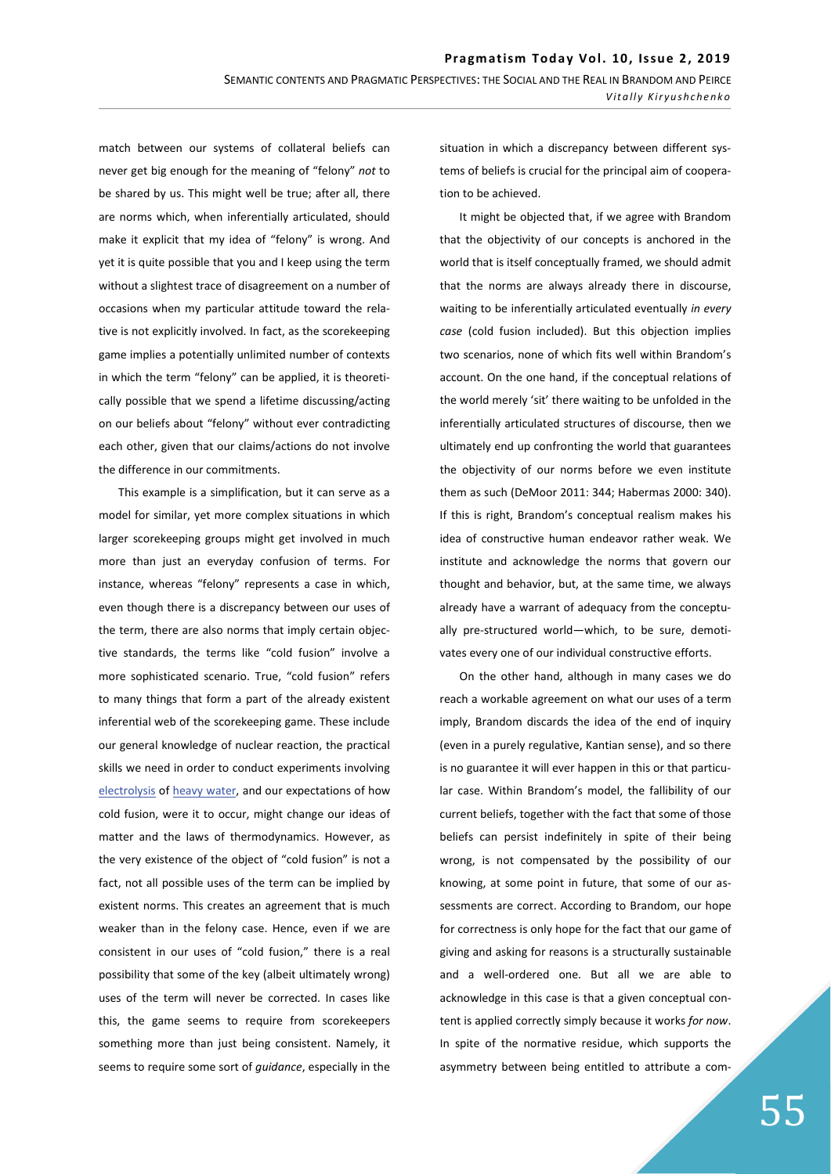match between our systems of collateral beliefs can never get big enough for the meaning of "felony" *not* to be shared by us. This might well be true; after all, there are norms which, when inferentially articulated, should make it explicit that my idea of "felony" is wrong. And yet it is quite possible that you and I keep using the term without a slightest trace of disagreement on a number of occasions when my particular attitude toward the relative is not explicitly involved. In fact, as the scorekeeping game implies a potentially unlimited number of contexts in which the term "felony" can be applied, it is theoretically possible that we spend a lifetime discussing/acting on our beliefs about "felony" without ever contradicting each other, given that our claims/actions do not involve the difference in our commitments.

This example is a simplification, but it can serve as a model for similar, yet more complex situations in which larger scorekeeping groups might get involved in much more than just an everyday confusion of terms. For instance, whereas "felony" represents a case in which, even though there is a discrepancy between our uses of the term, there are also norms that imply certain objective standards, the terms like "cold fusion" involve a more sophisticated scenario. True, "cold fusion" refers to many things that form a part of the already existent inferential web of the scorekeeping game. These include our general knowledge of nuclear reaction, the practical skills we need in order to conduct experiments involving electrolysis of heavy water, and our expectations of how cold fusion, were it to occur, might change our ideas of matter and the laws of thermodynamics. However, as the very existence of the object of "cold fusion" is not a fact, not all possible uses of the term can be implied by existent norms. This creates an agreement that is much weaker than in the felony case. Hence, even if we are consistent in our uses of "cold fusion," there is a real possibility that some of the key (albeit ultimately wrong) uses of the term will never be corrected. In cases like this, the game seems to require from scorekeepers something more than just being consistent. Namely, it seems to require some sort of *guidance*, especially in the

situation in which a discrepancy between different systems of beliefs is crucial for the principal aim of cooperation to be achieved.

It might be objected that, if we agree with Brandom that the objectivity of our concepts is anchored in the world that is itself conceptually framed, we should admit that the norms are always already there in discourse, waiting to be inferentially articulated eventually *in every case* (cold fusion included). But this objection implies two scenarios, none of which fits well within Brandom's account. On the one hand, if the conceptual relations of the world merely 'sit' there waiting to be unfolded in the inferentially articulated structures of discourse, then we ultimately end up confronting the world that guarantees the objectivity of our norms before we even institute them as such (DeMoor 2011: 344; Habermas 2000: 340). If this is right, Brandom's conceptual realism makes his idea of constructive human endeavor rather weak. We institute and acknowledge the norms that govern our thought and behavior, but, at the same time, we always already have a warrant of adequacy from the conceptually pre-structured world-which, to be sure, demotivates every one of our individual constructive efforts.

On the other hand, although in many cases we do reach a workable agreement on what our uses of a term imply, Brandom discards the idea of the end of inquiry (even in a purely regulative, Kantian sense), and so there is no guarantee it will ever happen in this or that particular case. Within Brandom's model, the fallibility of our current beliefs, together with the fact that some of those beliefs can persist indefinitely in spite of their being wrong, is not compensated by the possibility of our knowing, at some point in future, that some of our assessments are correct. According to Brandom, our hope for correctness is only hope for the fact that our game of giving and asking for reasons is a structurally sustainable and a well-ordered one. But all we are able to acknowledge in this case is that a given conceptual content is applied correctly simply because it works *for now*. In spite of the normative residue, which supports the asymmetry between being entitled to attribute a com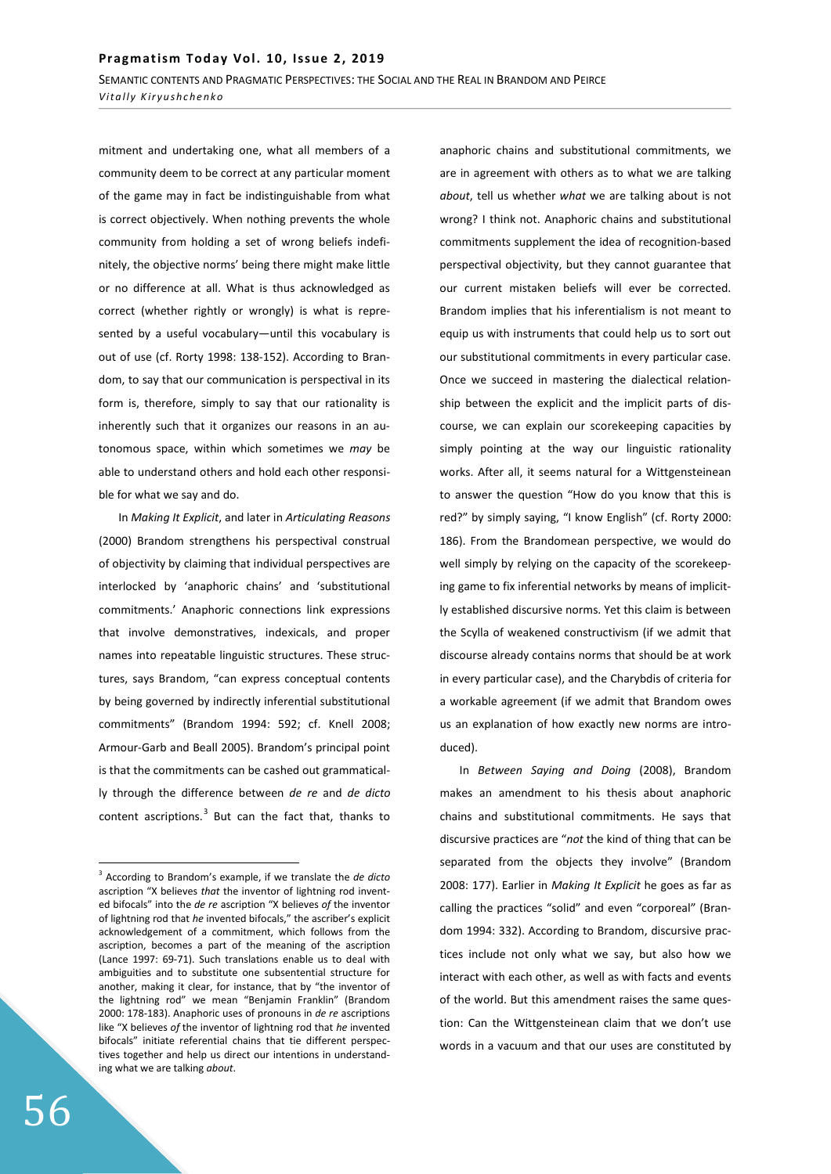mitment and undertaking one, what all members of a community deem to be correct at any particular moment of the game may in fact be indistinguishable from what is correct objectively. When nothing prevents the whole community from holding a set of wrong beliefs indefinitely, the objective norms' being there might make little or no difference at all. What is thus acknowledged as correct (whether rightly or wrongly) is what is represented by a useful yocabulary—until this vocabulary is out of use (cf. Rorty 1998: 138-152). According to Brandom, to say that our communication is perspectival in its form is, therefore, simply to say that our rationality is inherently such that it organizes our reasons in an autonomous space, within which sometimes we *may* be able to understand others and hold each other responsible for what we say and do.

In *Making It Explicit*, and later in *Articulating Reasons*  (2000) Brandom strengthens his perspectival construal of objectivity by claiming that individual perspectives are interlocked by 'anaphoric chains' and 'substitutional commitments.' Anaphoric connections link expressions that involve demonstratives, indexicals, and proper names into repeatable linguistic structures. These structures, says Brandom, "can express conceptual contents by being governed by indirectly inferential substitutional commitments" (Brandom 1994: 592; cf. Knell 2008; Armour-Garb and Beall 2005). Brandom's principal point is that the commitments can be cashed out grammatically through the difference between *de re* and *de dicto* content ascriptions. $3$  But can the fact that, thanks to

anaphoric chains and substitutional commitments, we are in agreement with others as to what we are talking *about*, tell us whether *what* we are talking about is not wrong? I think not. Anaphoric chains and substitutional commitments supplement the idea of recognition-based perspectival objectivity, but they cannot guarantee that our current mistaken beliefs will ever be corrected. Brandom implies that his inferentialism is not meant to equip us with instruments that could help us to sort out our substitutional commitments in every particular case. Once we succeed in mastering the dialectical relationship between the explicit and the implicit parts of discourse, we can explain our scorekeeping capacities by simply pointing at the way our linguistic rationality works. After all, it seems natural for a Wittgensteinean to answer the question "How do you know that this is red?" by simply saying, "I know English" (cf. Rorty 2000: 186). From the Brandomean perspective, we would do well simply by relying on the capacity of the scorekeeping game to fix inferential networks by means of implicitly established discursive norms. Yet this claim is between the Scylla of weakened constructivism (if we admit that discourse already contains norms that should be at work in every particular case), and the Charybdis of criteria for a workable agreement (if we admit that Brandom owes us an explanation of how exactly new norms are introduced).

In *Between Saying and Doing* (2008), Brandom makes an amendment to his thesis about anaphoric chains and substitutional commitments. He says that discursive practices are "*not* the kind of thing that can be separated from the objects they involve" (Brandom 2008: 177). Earlier in *Making It Explicit* he goes as far as calling the practices "solid" and even "corporeal" (Brandom 1994: 332). According to Brandom, discursive practices include not only what we say, but also how we interact with each other, as well as with facts and events of the world. But this amendment raises the same question: Can the Wittgensteinean claim that we don't use words in a vacuum and that our uses are constituted by

<sup>3</sup> According to Brandom's example, if we translate the *de dicto* ascription "X believes *that* the inventor of lightning rod invented bifocals" into the *de re* ascription "X believes *of* the inventor of lightning rod that *he* invented bifocals," the ascriber's explicit acknowledgement of a commitment, which follows from the ascription, becomes a part of the meaning of the ascription (Lance 1997: 69-71). Such translations enable us to deal with ambiguities and to substitute one subsentential structure for another, making it clear, for instance, that by "the inventor of the lightning rod" we mean "Benjamin Franklin" (Brandom 2000: 178-183). Anaphoric uses of pronouns in *de re* ascriptions like "X believes *of* the inventor of lightning rod that *he* invented bifocals" initiate referential chains that tie different perspectives together and help us direct our intentions in understanding what we are talking *about*.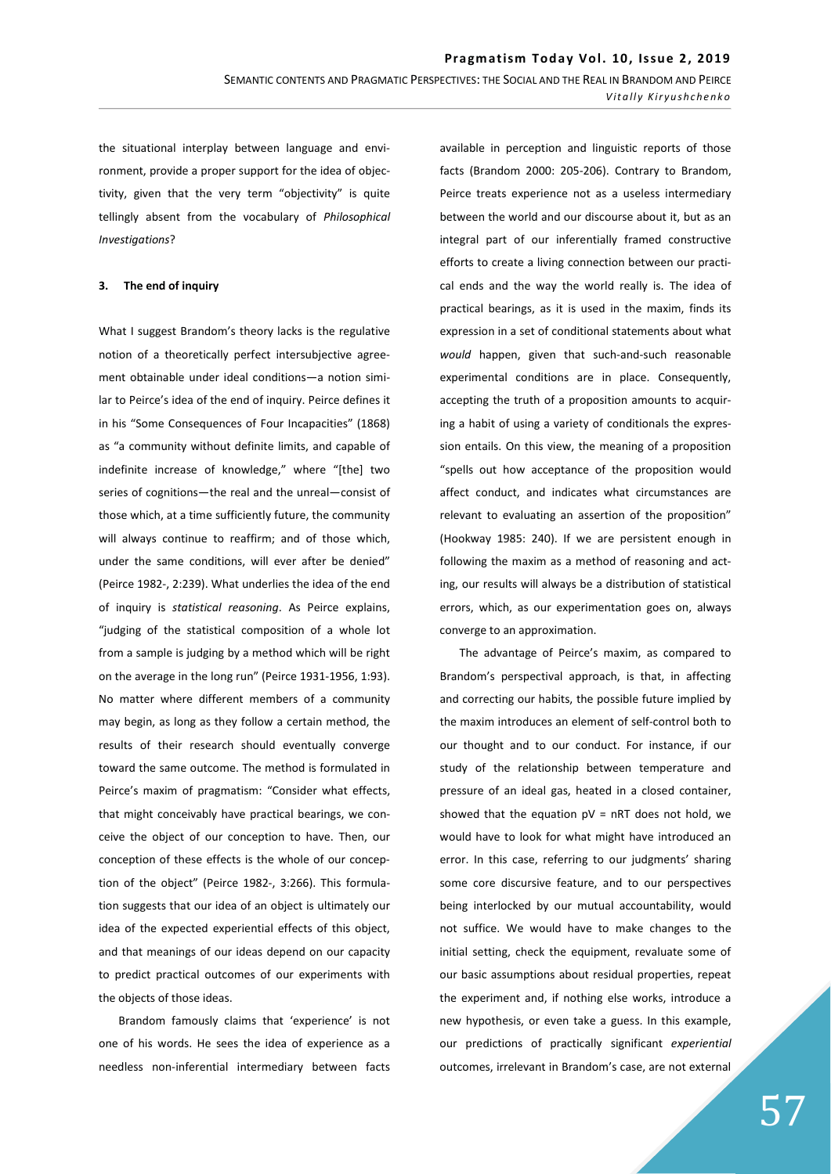the situational interplay between language and environment, provide a proper support for the idea of objectivity, given that the very term "objectivity" is quite tellingly absent from the vocabulary of *Philosophical Investigations*?

### **3.** The end of inquiry

What I suggest Brandom's theory lacks is the regulative notion of a theoretically perfect intersubjective agreement obtainable under ideal conditions-a notion similar to Peirce's idea of the end of inquiry. Peirce defines it in his "Some Consequences of Four Incapacities" (1868) as "a community without definite limits, and capable of indefinite increase of knowledge," where "[the] two series of cognitions-the real and the unreal-consist of those which, at a time sufficiently future, the community will always continue to reaffirm; and of those which, under the same conditions, will ever after be denied" (Peirce 1982-, 2:239). What underlies the idea of the end of inquiry is *statistical reasoning*. As Peirce explains, "judging of the statistical composition of a whole lot from a sample is judging by a method which will be right on the average in the long run" (Peirce 1931-1956, 1:93). No matter where different members of a community may begin, as long as they follow a certain method, the results of their research should eventually converge toward the same outcome. The method is formulated in Peirce's maxim of pragmatism: "Consider what effects, that might conceivably have practical bearings, we conceive the object of our conception to have. Then, our conception of these effects is the whole of our conception of the object" (Peirce 1982-, 3:266). This formulation suggests that our idea of an object is ultimately our idea of the expected experiential effects of this object, and that meanings of our ideas depend on our capacity to predict practical outcomes of our experiments with the objects of those ideas.

Brandom famously claims that 'experience' is not one of his words. He sees the idea of experience as a needless non-inferential intermediary between facts

available in perception and linguistic reports of those facts (Brandom 2000: 205-206). Contrary to Brandom, Peirce treats experience not as a useless intermediary between the world and our discourse about it, but as an integral part of our inferentially framed constructive efforts to create a living connection between our practical ends and the way the world really is. The idea of practical bearings, as it is used in the maxim, finds its expression in a set of conditional statements about what *would* happen, given that such-and-such reasonable experimental conditions are in place. Consequently, accepting the truth of a proposition amounts to acquiring a habit of using a variety of conditionals the expression entails. On this view, the meaning of a proposition "spells out how acceptance of the proposition would affect conduct, and indicates what circumstances are relevant to evaluating an assertion of the proposition" (Hookway 1985: 240). If we are persistent enough in following the maxim as a method of reasoning and acting, our results will always be a distribution of statistical errors, which, as our experimentation goes on, always converge to an approximation.

The advantage of Peirce's maxim, as compared to Brandom's perspectival approach, is that, in affecting and correcting our habits, the possible future implied by the maxim introduces an element of self-control both to our thought and to our conduct. For instance, if our study of the relationship between temperature and pressure of an ideal gas, heated in a closed container, showed that the equation  $pV = nRT$  does not hold, we would have to look for what might have introduced an error. In this case, referring to our judgments' sharing some core discursive feature, and to our perspectives being interlocked by our mutual accountability, would not suffice. We would have to make changes to the initial setting, check the equipment, revaluate some of our basic assumptions about residual properties, repeat the experiment and, if nothing else works, introduce a new hypothesis, or even take a guess. In this example, our predictions of practically significant *experiential* outcomes, irrelevant in Brandom's case, are not external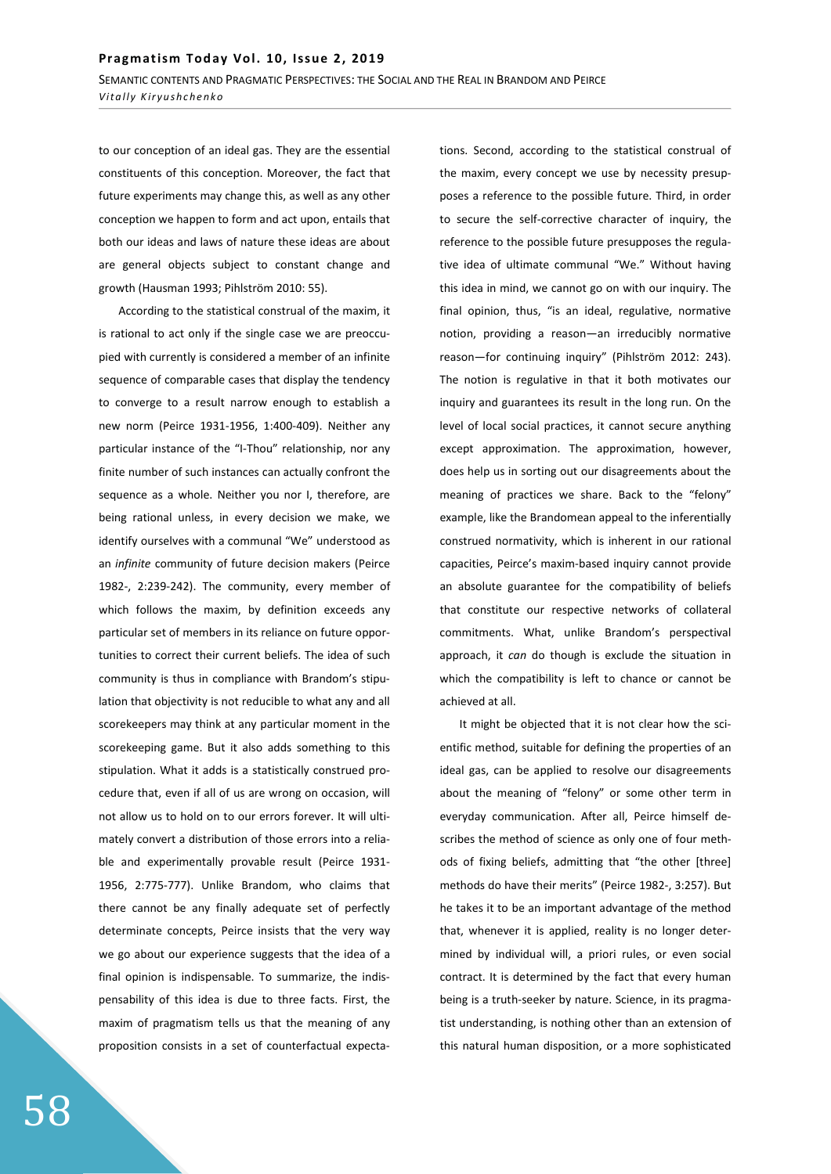to our conception of an ideal gas. They are the essential constituents of this conception. Moreover, the fact that future experiments may change this, as well as any other conception we happen to form and act upon, entails that both our ideas and laws of nature these ideas are about are general objects subject to constant change and growth (Hausman 1993; Pihlström 2010: 55).

According to the statistical construal of the maxim, it is rational to act only if the single case we are preoccupied with currently is considered a member of an infinite sequence of comparable cases that display the tendency to converge to a result narrow enough to establish a new norm (Peirce 1931-1956, 1:400-409). Neither any particular instance of the "I-Thou" relationship, nor any finite number of such instances can actually confront the sequence as a whole. Neither you nor I, therefore, are being rational unless, in every decision we make, we identify ourselves with a communal "We" understood as an *infinite* community of future decision makers (Peirce 1982-, 2:239-242). The community, every member of which follows the maxim, by definition exceeds any particular set of members in its reliance on future opportunities to correct their current beliefs. The idea of such community is thus in compliance with Brandom's stipulation that objectivity is not reducible to what any and all scorekeepers may think at any particular moment in the scorekeeping game. But it also adds something to this stipulation. What it adds is a statistically construed procedure that, even if all of us are wrong on occasion, will not allow us to hold on to our errors forever. It will ultimately convert a distribution of those errors into a reliable and experimentally provable result (Peirce 1931- 1956, 2:775-777). Unlike Brandom, who claims that there cannot be any finally adequate set of perfectly determinate concepts, Peirce insists that the very way we go about our experience suggests that the idea of a final opinion is indispensable. To summarize, the indispensability of this idea is due to three facts. First, the maxim of pragmatism tells us that the meaning of any proposition consists in a set of counterfactual expecta-

tions. Second, according to the statistical construal of the maxim, every concept we use by necessity presupposes a reference to the possible future. Third, in order to secure the self-corrective character of inquiry, the reference to the possible future presupposes the regulative idea of ultimate communal "We." Without having this idea in mind, we cannot go on with our inquiry. The final opinion, thus, "is an ideal, regulative, normative notion, providing a reason-an irreducibly normative reason-for continuing inquiry" (Pihlström 2012: 243). The notion is regulative in that it both motivates our inquiry and guarantees its result in the long run. On the level of local social practices, it cannot secure anything except approximation. The approximation, however, does help us in sorting out our disagreements about the meaning of practices we share. Back to the "felony" example, like the Brandomean appeal to the inferentially construed normativity, which is inherent in our rational capacities, Peirce's maxim-based inquiry cannot provide an absolute guarantee for the compatibility of beliefs that constitute our respective networks of collateral commitments. What, unlike Brandom's perspectival approach, it *can* do though is exclude the situation in which the compatibility is left to chance or cannot be achieved at all.

It might be objected that it is not clear how the scientific method, suitable for defining the properties of an ideal gas, can be applied to resolve our disagreements about the meaning of "felony" or some other term in everyday communication. After all, Peirce himself describes the method of science as only one of four methods of fixing beliefs, admitting that "the other [three] methods do have their merits" (Peirce 1982-, 3:257). But he takes it to be an important advantage of the method that, whenever it is applied, reality is no longer determined by individual will, a priori rules, or even social contract. It is determined by the fact that every human being is a truth-seeker by nature. Science, in its pragmatist understanding, is nothing other than an extension of this natural human disposition, or a more sophisticated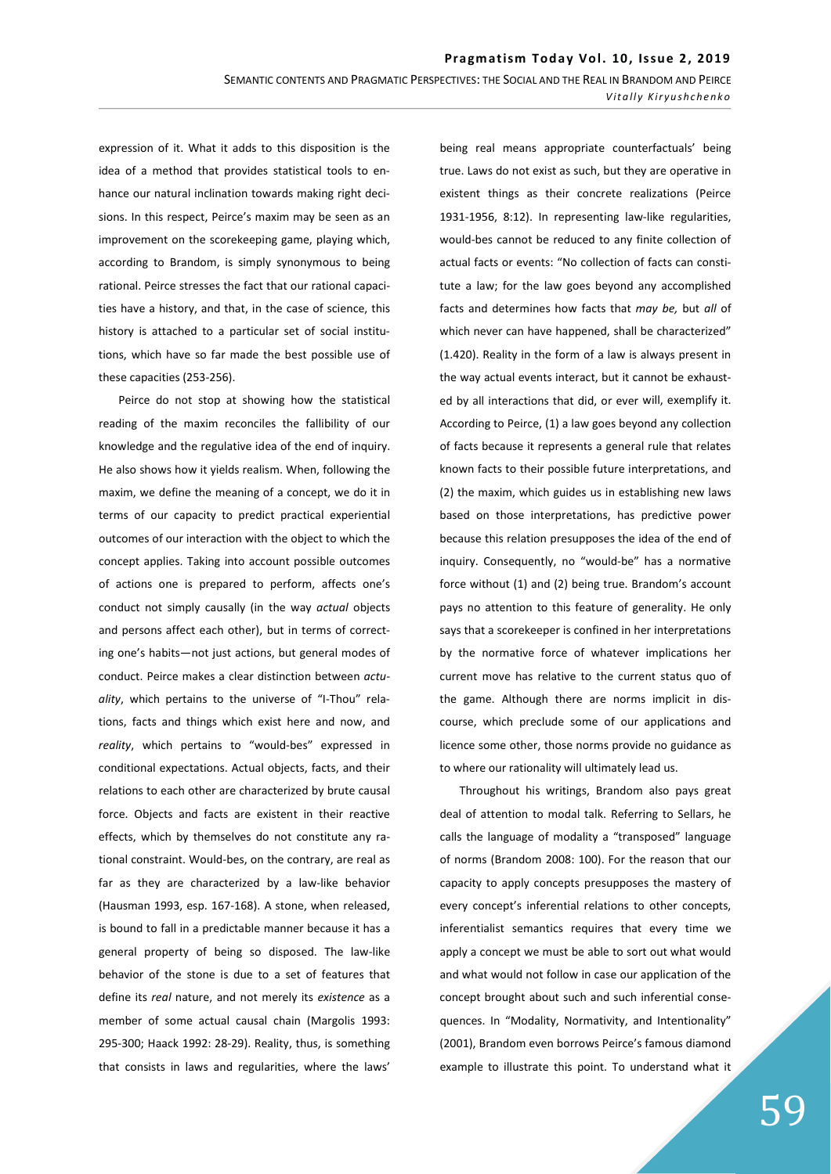expression of it. What it adds to this disposition is the idea of a method that provides statistical tools to enhance our natural inclination towards making right decisions. In this respect, Peirce's maxim may be seen as an improvement on the scorekeeping game, playing which, according to Brandom, is simply synonymous to being rational. Peirce stresses the fact that our rational capacities have a history, and that, in the case of science, this history is attached to a particular set of social institutions, which have so far made the best possible use of these capacities (253-256).

Peirce do not stop at showing how the statistical reading of the maxim reconciles the fallibility of our knowledge and the regulative idea of the end of inquiry. He also shows how it yields realism. When, following the maxim, we define the meaning of a concept, we do it in terms of our capacity to predict practical experiential outcomes of our interaction with the object to which the concept applies. Taking into account possible outcomes of actions one is prepared to perform, affects one's conduct not simply causally (in the way *actual* objects and persons affect each other), but in terms of correcting one's habits—not just actions, but general modes of conduct. Peirce makes a clear distinction between *actuality*, which pertains to the universe of "I-Thou" relations, facts and things which exist here and now, and *reality*, which pertains to "would-bes" expressed in conditional expectations. Actual objects, facts, and their relations to each other are characterized by brute causal force. Objects and facts are existent in their reactive effects, which by themselves do not constitute any rational constraint. Would-bes, on the contrary, are real as far as they are characterized by a law-like behavior (Hausman 1993, esp. 167-168). A stone, when released, is bound to fall in a predictable manner because it has a general property of being so disposed. The law-like behavior of the stone is due to a set of features that define its *real* nature, and not merely its *existence* as a member of some actual causal chain (Margolis 1993: 295-300; Haack 1992: 28-29). Reality, thus, is something that consists in laws and regularities, where the laws'

being real means appropriate counterfactuals' being true. Laws do not exist as such, but they are operative in existent things as their concrete realizations (Peirce 1931-1956, 8:12). In representing law-like regularities, would-bes cannot be reduced to any finite collection of actual facts or events: "No collection of facts can constitute a law; for the law goes beyond any accomplished facts and determines how facts that *may be,* but *all* of which never can have happened, shall be characterized" (1.420). Reality in the form of a law is always present in the way actual events interact, but it cannot be exhausted by all interactions that did, or ever will, exemplify it. According to Peirce, (1) a law goes beyond any collection of facts because it represents a general rule that relates known facts to their possible future interpretations, and (2) the maxim, which guides us in establishing new laws based on those interpretations, has predictive power because this relation presupposes the idea of the end of inquiry. Consequently, no "would-be" has a normative force without (1) and (2) being true. Brandom's account pays no attention to this feature of generality. He only says that a scorekeeper is confined in her interpretations by the normative force of whatever implications her current move has relative to the current status quo of the game. Although there are norms implicit in discourse, which preclude some of our applications and licence some other, those norms provide no guidance as to where our rationality will ultimately lead us.

Throughout his writings, Brandom also pays great deal of attention to modal talk. Referring to Sellars, he calls the language of modality a "transposed" language of norms (Brandom 2008: 100). For the reason that our capacity to apply concepts presupposes the mastery of every concept's inferential relations to other concepts, inferentialist semantics requires that every time we apply a concept we must be able to sort out what would and what would not follow in case our application of the concept brought about such and such inferential consequences. In "Modality, Normativity, and Intentionality" (2001), Brandom even borrows Peirce's famous diamond example to illustrate this point. To understand what it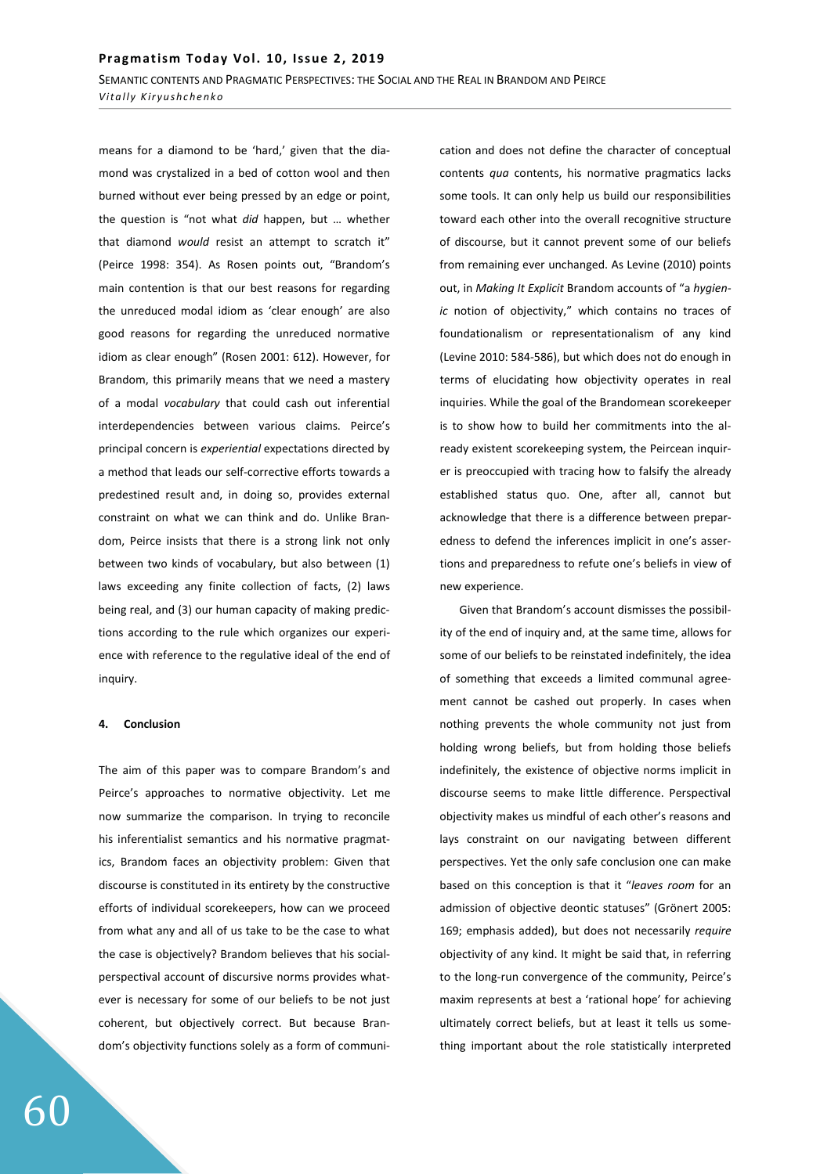*Vitally Kiryushchenko* 

means for a diamond to be 'hard,' given that the diamond was crystalized in a bed of cotton wool and then burned without ever being pressed by an edge or point, the question is "not what *did* happen, but … whether that diamond *would* resist an attempt to scratch it" (Peirce 1998: 354). As Rosen points out, "Brandom's main contention is that our best reasons for regarding the unreduced modal idiom as 'clear enough' are also good reasons for regarding the unreduced normative idiom as clear enough" (Rosen 2001: 612). However, for Brandom, this primarily means that we need a mastery of a modal *vocabulary* that could cash out inferential interdependencies between various claims. Peirce's principal concern is *experiential* expectations directed by a method that leads our self-corrective efforts towards a predestined result and, in doing so, provides external constraint on what we can think and do. Unlike Brandom, Peirce insists that there is a strong link not only between two kinds of vocabulary, but also between (1) laws exceeding any finite collection of facts, (2) laws being real, and (3) our human capacity of making predictions according to the rule which organizes our experience with reference to the regulative ideal of the end of inquiry.

## **ϰ͘ Conclusion**

The aim of this paper was to compare Brandom's and Peirce's approaches to normative objectivity. Let me now summarize the comparison. In trying to reconcile his inferentialist semantics and his normative pragmatics, Brandom faces an objectivity problem: Given that discourse is constituted in its entirety by the constructive efforts of individual scorekeepers, how can we proceed from what any and all of us take to be the case to what the case is objectively? Brandom believes that his socialperspectival account of discursive norms provides whatever is necessary for some of our beliefs to be not just coherent, but objectively correct. But because Brandom's objectivity functions solely as a form of communication and does not define the character of conceptual contents *qua* contents, his normative pragmatics lacks some tools. It can only help us build our responsibilities toward each other into the overall recognitive structure of discourse, but it cannot prevent some of our beliefs from remaining ever unchanged. As Levine (2010) points out, in *Making It Explicit* Brandom accounts of "a *hygienic* notion of objectivity," which contains no traces of foundationalism or representationalism of any kind (Levine 2010: 584-586), but which does not do enough in terms of elucidating how objectivity operates in real inquiries. While the goal of the Brandomean scorekeeper is to show how to build her commitments into the already existent scorekeeping system, the Peircean inquirer is preoccupied with tracing how to falsify the already established status quo. One, after all, cannot but acknowledge that there is a difference between preparedness to defend the inferences implicit in one's assertions and preparedness to refute one's beliefs in view of new experience.

Given that Brandom's account dismisses the possibility of the end of inquiry and, at the same time, allows for some of our beliefs to be reinstated indefinitely, the idea of something that exceeds a limited communal agreement cannot be cashed out properly. In cases when nothing prevents the whole community not just from holding wrong beliefs, but from holding those beliefs indefinitely, the existence of objective norms implicit in discourse seems to make little difference. Perspectival objectivity makes us mindful of each other's reasons and lays constraint on our navigating between different perspectives. Yet the only safe conclusion one can make based on this conception is that it "*leaves room* for an admission of objective deontic statuses" (Grönert 2005: 169; emphasis added), but does not necessarily *require* objectivity of any kind. It might be said that, in referring to the long-run convergence of the community, Peirce's maxim represents at best a 'rational hope' for achieving ultimately correct beliefs, but at least it tells us something important about the role statistically interpreted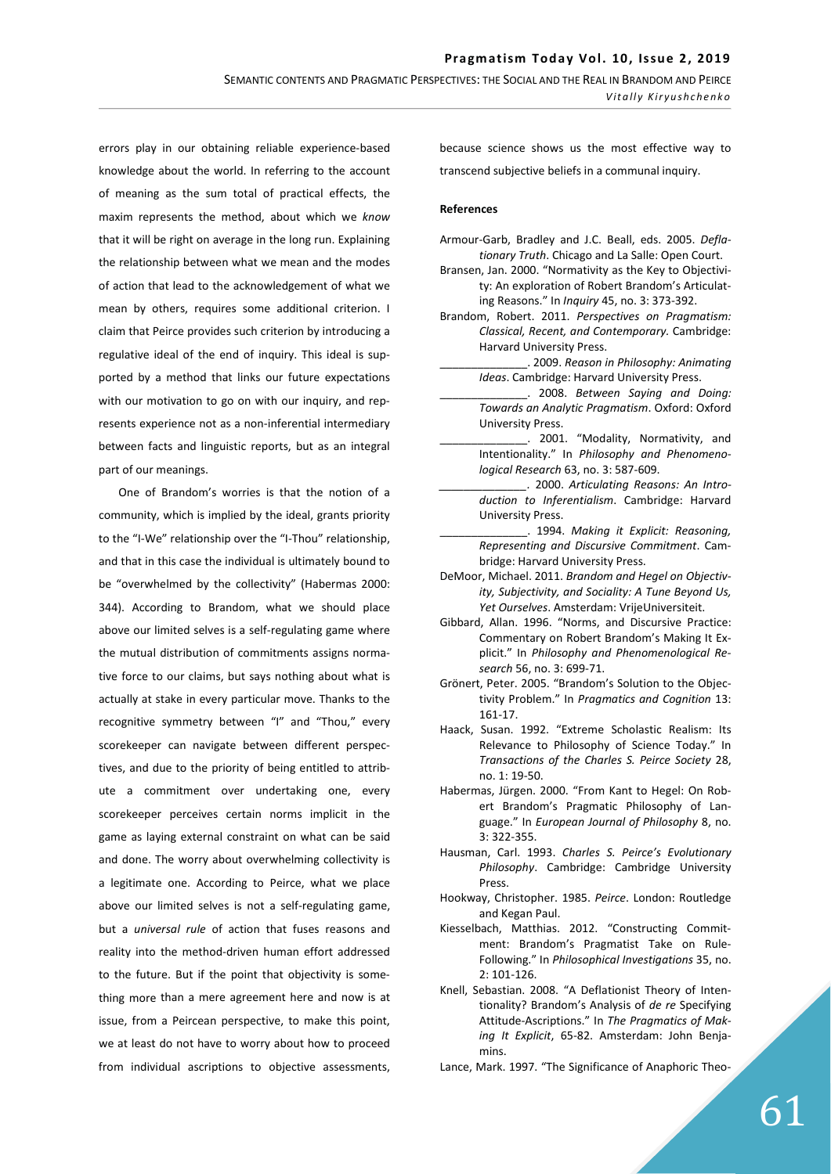errors play in our obtaining reliable experience-based knowledge about the world. In referring to the account of meaning as the sum total of practical effects, the maxim represents the method, about which we *know* that it will be right on average in the long run. Explaining the relationship between what we mean and the modes of action that lead to the acknowledgement of what we mean by others, requires some additional criterion. I claim that Peirce provides such criterion by introducing a regulative ideal of the end of inquiry. This ideal is supported by a method that links our future expectations with our motivation to go on with our inquiry, and represents experience not as a non-inferential intermediary between facts and linguistic reports, but as an integral part of our meanings.

One of Brandom's worries is that the notion of a community, which is implied by the ideal, grants priority to the "I-We" relationship over the "I-Thou" relationship, and that in this case the individual is ultimately bound to be "overwhelmed by the collectivity" (Habermas 2000: 344). According to Brandom, what we should place above our limited selves is a self-regulating game where the mutual distribution of commitments assigns normative force to our claims, but says nothing about what is actually at stake in every particular move. Thanks to the recognitive symmetry between "I" and "Thou," every scorekeeper can navigate between different perspectives, and due to the priority of being entitled to attribute a commitment over undertaking one, every scorekeeper perceives certain norms implicit in the game as laying external constraint on what can be said and done. The worry about overwhelming collectivity is a legitimate one. According to Peirce, what we place above our limited selves is not a self-regulating game, but a *universal rule* of action that fuses reasons and reality into the method-driven human effort addressed to the future. But if the point that objectivity is something more than a mere agreement here and now is at issue, from a Peircean perspective, to make this point, we at least do not have to worry about how to proceed from individual ascriptions to objective assessments,

because science shows us the most effective way to transcend subjective beliefs in a communal inquiry.

#### **References**

- Armour-Garb, Bradley and J.C. Beall, eds. 2005. *Deflationary Truth*. Chicago and La Salle: Open Court.
- Bransen, Jan. 2000. "Normativity as the Key to Objectivity: An exploration of Robert Brandom's Articulating Reasons." In *Inquiry* 45, no. 3: 373-392.
- Brandom, Robert. 2011. *Perspectives on Pragmatism: Classical, Recent, and Contemporary.* Cambridge: Harvard University Press.
	- \_\_\_\_\_\_\_\_\_\_\_\_\_\_. 2009. *Reason in Philosophy: Animating Ideas*. Cambridge: Harvard University Press.
	- \_\_\_\_\_\_\_\_\_\_\_\_\_\_. 2008. *Between Saying and Doing: Towards an Analytic Pragmatism*. Oxford: Oxford University Press.
- \_\_\_\_\_\_\_\_\_\_\_\_\_\_. 2001. "Modality, Normativity, and Intentionality." In *Philosophy and Phenomenological Research* 63, no. 3: 587-609.
- *\_\_\_\_\_\_\_\_\_\_\_\_\_\_.* 2000. *Articulating Reasons: An Introduction to Inferentialism*. Cambridge: Harvard University Press.
- \_\_\_\_\_\_\_\_\_\_\_\_\_\_. 1994. *Making it Explicit: Reasoning, Representing and Discursive Commitment*. Cambridge: Harvard University Press.
- DeMoor, Michael. 2011. *Brandom and Hegel on Objectivity, Subjectivity, and Sociality: A Tune Beyond Us, Yet Ourselves*. Amsterdam: VrijeUniversiteit.
- Gibbard, Allan. 1996. "Norms, and Discursive Practice: Commentary on Robert Brandom's Making It Explicit." In *Philosophy and Phenomenological Research* 56, no. 3: 699-71.
- Grönert, Peter. 2005. "Brandom's Solution to the Objectivity Problem." In *Pragmatics and Cognition* 13: 161-17.
- Haack, Susan. 1992. "Extreme Scholastic Realism: Its Relevance to Philosophy of Science Today." In *Transactions of the Charles S. Peirce Society* 28, no. 1: 19-50.
- Habermas, Jürgen. 2000. "From Kant to Hegel: On Robert Brandom's Pragmatic Philosophy of Language." In *European Journal of Philosophy* 8, no. 3: 322-355.
- Hausman, Carl. 1993. *Charles S. Peirce's Evolutionary Philosophy*. Cambridge: Cambridge University Press.
- Hookway, Christopher. 1985. *Peirce*. London: Routledge and Kegan Paul.
- Kiesselbach, Matthias. 2012. "Constructing Commitment: Brandom's Pragmatist Take on Rule-Following." In *Philosophical Investigations* 35, no. 2: 101-126.
- Knell, Sebastian. 2008. "A Deflationist Theory of Intentionality? Brandom's Analysis of *de re* Specifying Attitude-Ascriptions." In *The Pragmatics of Making It Explicit*, 65-82. Amsterdam: John Benjamins.
- Lance, Mark. 1997. "The Significance of Anaphoric Theo-